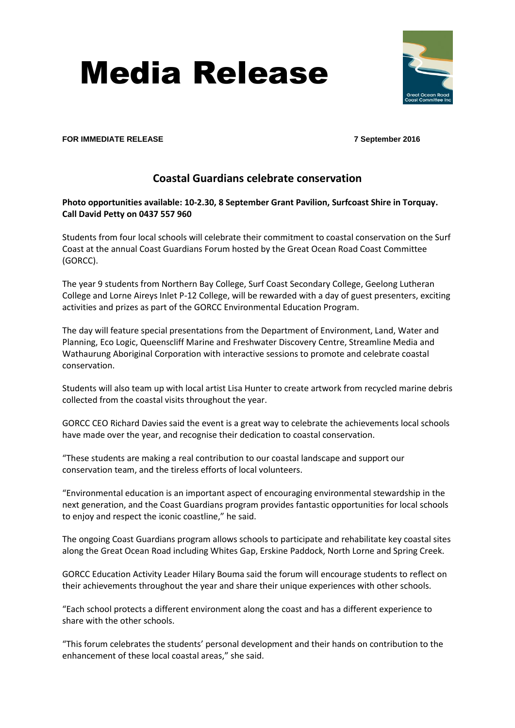# Media Release



#### **FOR IMMEDIATE RELEASE 7 September 2016**

# **Coastal Guardians celebrate conservation**

## **Photo opportunities available: 10-2.30, 8 September Grant Pavilion, Surfcoast Shire in Torquay. Call David Petty on 0437 557 960**

Students from four local schools will celebrate their commitment to coastal conservation on the Surf Coast at the annual Coast Guardians Forum hosted by the Great Ocean Road Coast Committee (GORCC).

The year 9 students from Northern Bay College, Surf Coast Secondary College, Geelong Lutheran College and Lorne Aireys Inlet P-12 College, will be rewarded with a day of guest presenters, exciting activities and prizes as part of the GORCC Environmental Education Program.

The day will feature special presentations from the Department of Environment, Land, Water and Planning, Eco Logic, Queenscliff Marine and Freshwater Discovery Centre, Streamline Media and Wathaurung Aboriginal Corporation with interactive sessions to promote and celebrate coastal conservation.

Students will also team up with local artist Lisa Hunter to create artwork from recycled marine debris collected from the coastal visits throughout the year.

GORCC CEO Richard Davies said the event is a great way to celebrate the achievements local schools have made over the year, and recognise their dedication to coastal conservation.

"These students are making a real contribution to our coastal landscape and support our conservation team, and the tireless efforts of local volunteers.

"Environmental education is an important aspect of encouraging environmental stewardship in the next generation, and the Coast Guardians program provides fantastic opportunities for local schools to enjoy and respect the iconic coastline," he said.

The ongoing Coast Guardians program allows schools to participate and rehabilitate key coastal sites along the Great Ocean Road including Whites Gap, Erskine Paddock, North Lorne and Spring Creek.

GORCC Education Activity Leader Hilary Bouma said the forum will encourage students to reflect on their achievements throughout the year and share their unique experiences with other schools.

"Each school protects a different environment along the coast and has a different experience to share with the other schools.

"This forum celebrates the students' personal development and their hands on contribution to the enhancement of these local coastal areas," she said.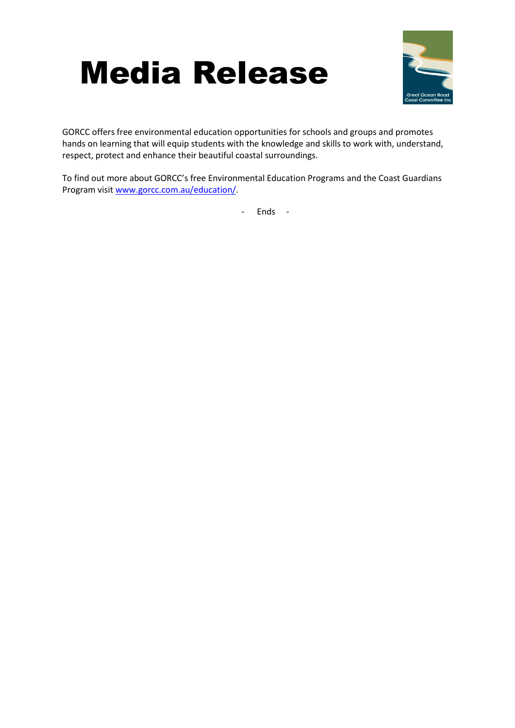



GORCC offers free environmental education opportunities for schools and groups and promotes hands on learning that will equip students with the knowledge and skills to work with, understand, respect, protect and enhance their beautiful coastal surroundings.

To find out more about GORCC's free Environmental Education Programs and the Coast Guardians Program visi[t www.gorcc.com.au/education/.](http://www.gorcc.com.au/education/)

- Ends -